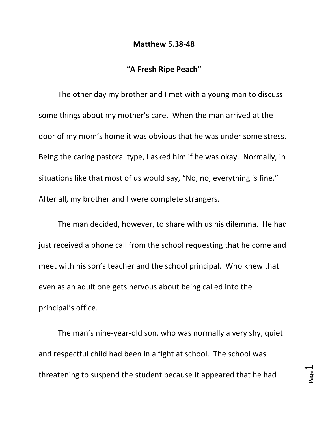## **Matthew 5.38-48**

## **"A Fresh Ripe Peach"**

The other day my brother and I met with a young man to discuss some things about my mother's care. When the man arrived at the door of my mom's home it was obvious that he was under some stress. Being the caring pastoral type, I asked him if he was okay. Normally, in situations like that most of us would say, "No, no, everything is fine." After all, my brother and I were complete strangers.

The man decided, however, to share with us his dilemma. He had just received a phone call from the school requesting that he come and meet with his son's teacher and the school principal. Who knew that even as an adult one gets nervous about being called into the principal's office.

The man's nine-year-old son, who was normally a very shy, quiet and respectful child had been in a fight at school. The school was threatening to suspend the student because it appeared that he had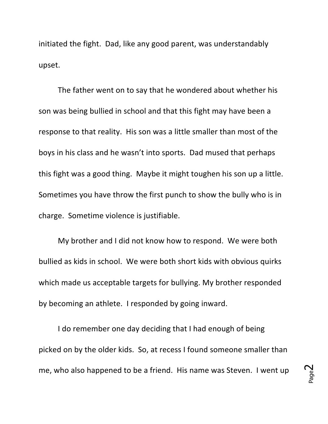initiated the fight. Dad, like any good parent, was understandably upset. 

The father went on to say that he wondered about whether his son was being bullied in school and that this fight may have been a response to that reality. His son was a little smaller than most of the boys in his class and he wasn't into sports. Dad mused that perhaps this fight was a good thing. Maybe it might toughen his son up a little. Sometimes you have throw the first punch to show the bully who is in charge. Sometime violence is justifiable.

My brother and I did not know how to respond. We were both bullied as kids in school. We were both short kids with obvious quirks which made us acceptable targets for bullying. My brother responded by becoming an athlete. I responded by going inward.

I do remember one day deciding that I had enough of being picked on by the older kids. So, at recess I found someone smaller than me, who also happened to be a friend. His name was Steven. I went up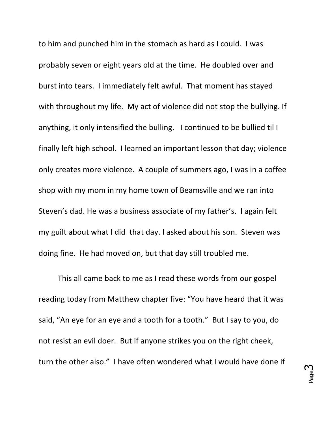to him and punched him in the stomach as hard as I could. I was probably seven or eight years old at the time. He doubled over and burst into tears. I immediately felt awful. That moment has stayed with throughout my life. My act of violence did not stop the bullying. If anything, it only intensified the bulling. I continued to be bullied til I finally left high school. I learned an important lesson that day; violence only creates more violence. A couple of summers ago, I was in a coffee shop with my mom in my home town of Beamsville and we ran into Steven's dad. He was a business associate of my father's. I again felt my guilt about what I did that day. I asked about his son. Steven was doing fine. He had moved on, but that day still troubled me.

This all came back to me as I read these words from our gospel reading today from Matthew chapter five: "You have heard that it was said, "An eye for an eye and a tooth for a tooth." But I say to you, do not resist an evil doer. But if anyone strikes you on the right cheek, turn the other also." I have often wondered what I would have done if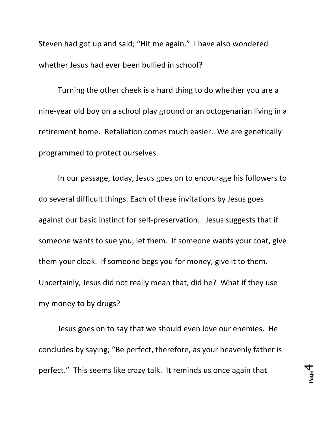Steven had got up and said; "Hit me again." I have also wondered whether Jesus had ever been bullied in school?

Turning the other cheek is a hard thing to do whether you are a nine-year old boy on a school play ground or an octogenarian living in a retirement home. Retaliation comes much easier. We are genetically programmed to protect ourselves.

In our passage, today, Jesus goes on to encourage his followers to do several difficult things. Each of these invitations by Jesus goes against our basic instinct for self-preservation. Jesus suggests that if someone wants to sue you, let them. If someone wants your coat, give them your cloak. If someone begs you for money, give it to them. Uncertainly, Jesus did not really mean that, did he? What if they use my money to by drugs?

Jesus goes on to say that we should even love our enemies. He concludes by saying; "Be perfect, therefore, as your heavenly father is perfect." This seems like crazy talk. It reminds us once again that

Page 4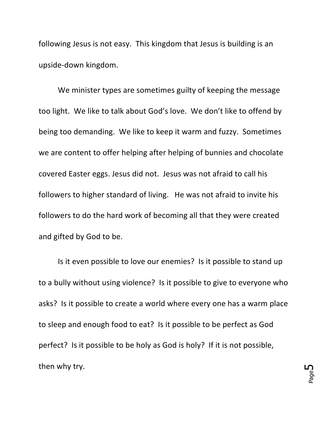following Jesus is not easy. This kingdom that Jesus is building is an upside-down kingdom.

We minister types are sometimes guilty of keeping the message too light. We like to talk about God's love. We don't like to offend by being too demanding. We like to keep it warm and fuzzy. Sometimes we are content to offer helping after helping of bunnies and chocolate covered Easter eggs. Jesus did not. Jesus was not afraid to call his followers to higher standard of living. He was not afraid to invite his followers to do the hard work of becoming all that they were created and gifted by God to be.

Is it even possible to love our enemies? Is it possible to stand up to a bully without using violence? Is it possible to give to everyone who asks? Is it possible to create a world where every one has a warm place to sleep and enough food to eat? Is it possible to be perfect as God perfect? Is it possible to be holy as God is holy? If it is not possible, then why try.

Page ഥ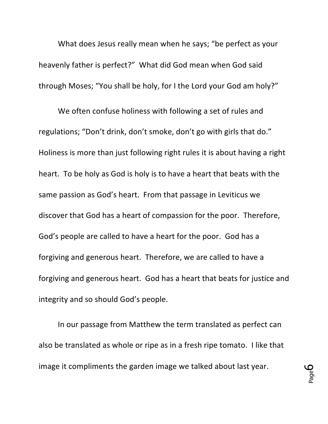What does Jesus really mean when he says; "be perfect as your heavenly father is perfect?" What did God mean when God said through Moses; "You shall be holy, for I the Lord your God am holy?"

We often confuse holiness with following a set of rules and regulations; "Don't drink, don't smoke, don't go with girls that do." Holiness is more than just following right rules it is about having a right heart. To be holy as God is holy is to have a heart that beats with the same passion as God's heart. From that passage in Leviticus we discover that God has a heart of compassion for the poor. Therefore, God's people are called to have a heart for the poor. God has a forgiving and generous heart. Therefore, we are called to have a forgiving and generous heart. God has a heart that beats for justice and integrity and so should God's people.

In our passage from Matthew the term translated as perfect can also be translated as whole or ripe as in a fresh ripe tomato. I like that image it compliments the garden image we talked about last year.

Page 6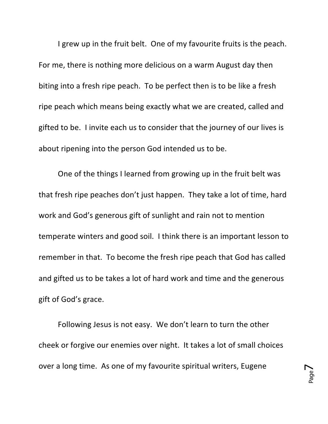I grew up in the fruit belt. One of my favourite fruits is the peach. For me, there is nothing more delicious on a warm August day then biting into a fresh ripe peach. To be perfect then is to be like a fresh ripe peach which means being exactly what we are created, called and gifted to be. I invite each us to consider that the journey of our lives is about ripening into the person God intended us to be.

One of the things I learned from growing up in the fruit belt was that fresh ripe peaches don't just happen. They take a lot of time, hard work and God's generous gift of sunlight and rain not to mention temperate winters and good soil. I think there is an important lesson to remember in that. To become the fresh ripe peach that God has called and gifted us to be takes a lot of hard work and time and the generous gift of God's grace.

Following Jesus is not easy. We don't learn to turn the other cheek or forgive our enemies over night. It takes a lot of small choices over a long time. As one of my favourite spiritual writers, Eugene